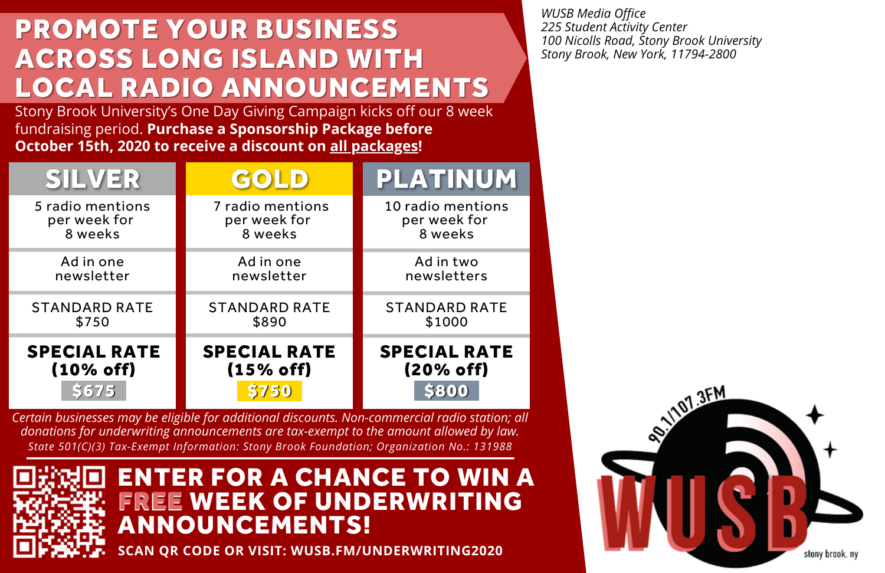# PROMOTE YOUR BUSINESS ACROSS LONG ISLAND WITH LOCAL RADIO ANNOUNCEMENTS

Stony Brook University's One Day Giving Campaign kicks off our 8 week fundraising period. **Purchase a Sponsorship Package before October 15th, 2020 to receive a discount on all packages!**

| <b>SILVER</b>        | GOLD)                | <b>PLATINUM</b>      |
|----------------------|----------------------|----------------------|
| 5 radio mentions     | 7 radio mentions     | 10 radio mentions    |
| per week for         | per week for         | per week for         |
| 8 weeks              | 8 weeks              | 8 weeks              |
| Ad in one            | Ad in one            | Ad in two            |
| newsletter           | newsletter           | newsletters          |
| <b>STANDARD RATE</b> | <b>STANDARD RATE</b> | <b>STANDARD RATE</b> |
| \$750                | \$890                | \$1000               |
| <b>SPECIAL RATE</b>  | <b>SPECIAL RATE</b>  | <b>SPECIAL RATE</b>  |
| (10% of f)           | (15% of f)           | (20% off)            |

*Certain businesses may be eligible for additional discounts. Non-commercial radio station; all donations for underwriting announcements are tax-exempt to the amount allowed by law. State 501(C)(3) Tax-Exempt Information: Stony Brook Foundation; Organization No.: 131988*



#### ENTER FOR A CHANCE TO WIN A **EE WEEK OF UNDERWRITING** ANNOUNCEMENTS! FREE

**SCAN QR CODE OR VISIT: WUSB.FM/UNDERWRITING2020**

*WUSB Media Office 225 Student Activity Center 100 Nicolls Road, Stony Brook University Stony Brook, New York, 11794-2800*